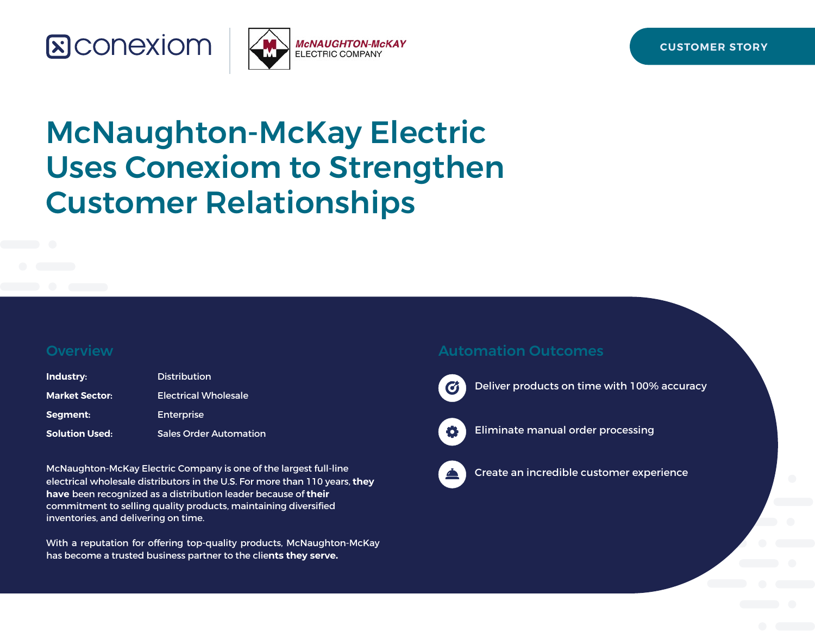



# McNaughton-McKay Electric Uses Conexiom to Strengthen Customer Relationships

#### **Overview**

| Industry:             | <b>Distribution</b>           |
|-----------------------|-------------------------------|
| <b>Market Sector:</b> | <b>Electrical Wholesale</b>   |
| Segment:              | <b>Enterprise</b>             |
| <b>Solution Used:</b> | <b>Sales Order Automation</b> |

McNaughton-McKay Electric Company is one of the largest full-line electrical wholesale distributors in the U.S. For more than 110 years, **they have** been recognized as a distribution leader because of **their** commitment to selling quality products, maintaining diversified inventories, and delivering on time.

With a reputation for offering top-quality products, McNaughton-McKay has become a trusted business partner to the clie**nts they serve.**

#### Automation Outcomes



Deliver products on time with 100% accuracy



Eliminate manual order processing



Create an incredible customer experience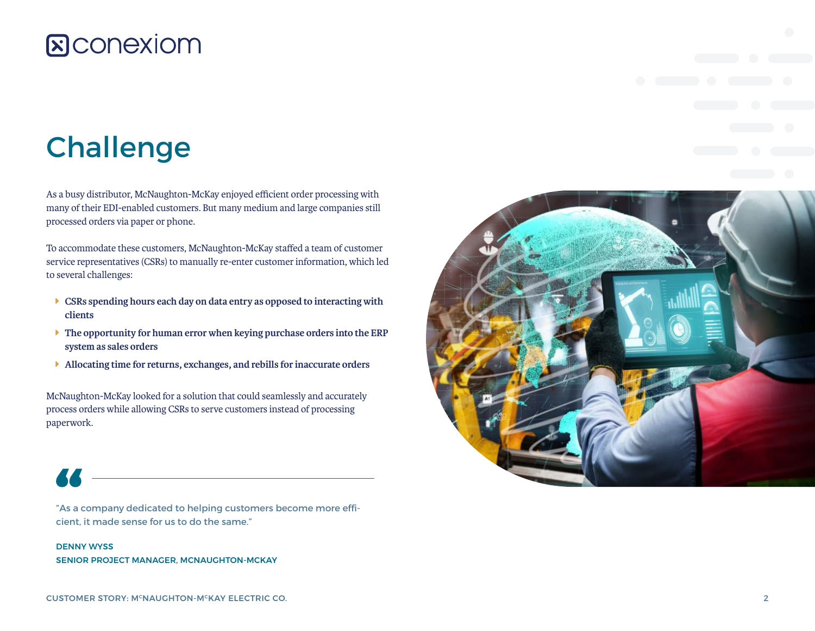# Challenge

As a busy distributor, McNaughton-McKay enjoyed efficient order processing with many of their EDI-enabled customers. But many medium and large companies still processed orders via paper or phone.

To accommodate these customers, McNaughton-McKay staffed a team of customer service representatives (CSRs) to manually re-enter customer information, which led to several challenges:

- **EGRs spending hours each day on data entry as opposed to interacting with clients**
- **The opportunity for human error when keying purchase orders into the ERP system as sales orders**
- Î **Allocating time for returns, exchanges, and rebills for inaccurate orders**

McNaughton-McKay looked for a solution that could seamlessly and accurately process orders while allowing CSRs to serve customers instead of processing paperwork.



"As a company dedicated to helping customers become more efficient, it made sense for us to do the same."

DENNY WYSS SENIOR PROJECT MANAGER, MCNAUGHTON-MCKAY

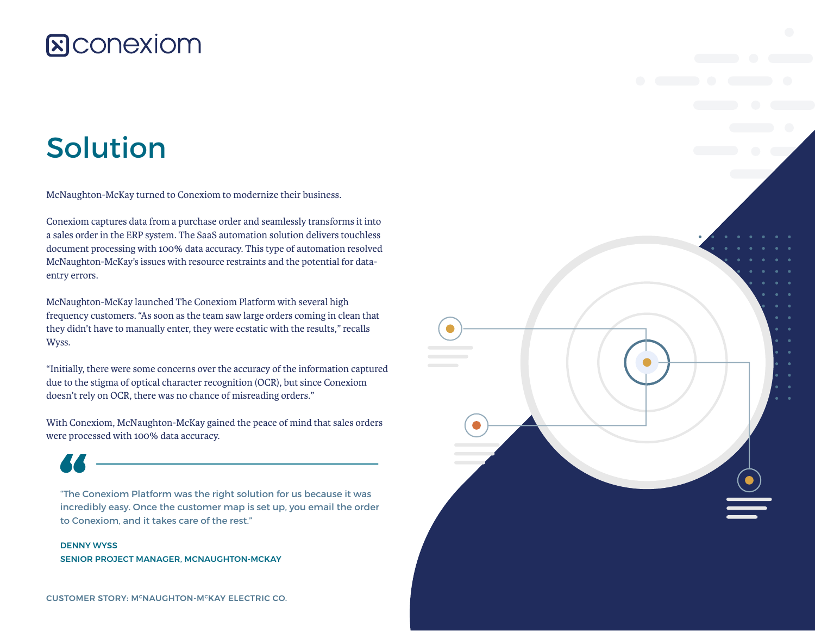## Solution

McNaughton-McKay turned to Conexiom to modernize their business.

Conexiom captures data from a purchase order and seamlessly transforms it into a sales order in the ERP system. The SaaS automation solution delivers touchless document processing with 100% data accuracy. This type of automation resolved McNaughton-McKay's issues with resource restraints and the potential for dataentry errors.

McNaughton-McKay launched The Conexiom Platform with several high frequency customers. "As soon as the team saw large orders coming in clean that they didn't have to manually enter, they were ecstatic with the results," recalls Wyss.

"Initially, there were some concerns over the accuracy of the information captured due to the stigma of optical character recognition (OCR), but since Conexiom doesn't rely on OCR, there was no chance of misreading orders."

With Conexiom, McNaughton-McKay gained the peace of mind that sales orders were processed with 100% data accuracy.

"The Conexiom Platform was the right solution for us because it was incredibly easy. Once the customer map is set up, you email the order to Conexiom, and it takes care of the rest."

DENNY WYSS SENIOR PROJECT MANAGER, MCNAUGHTON-MCKAY

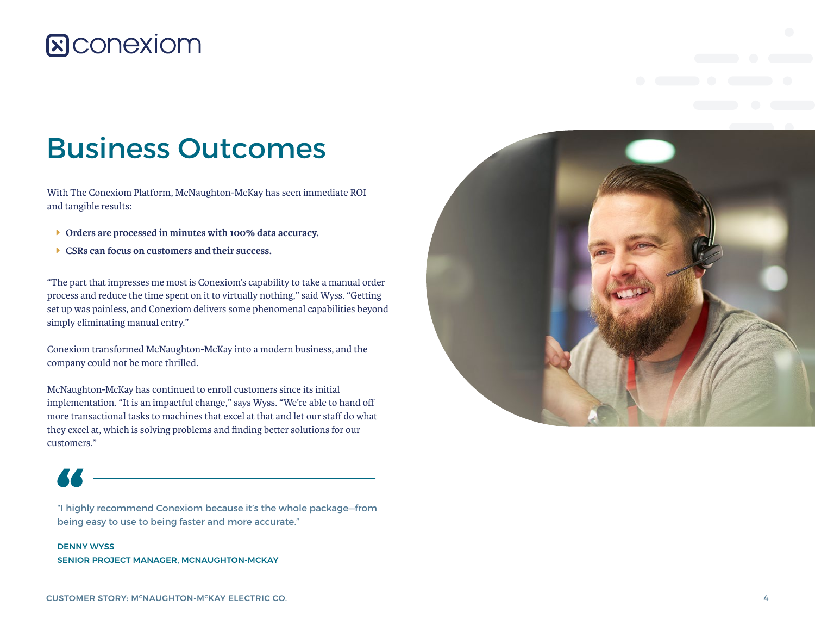## Business Outcomes

With The Conexiom Platform, McNaughton-McKay has seen immediate ROI and tangible results:

- **I** Orders are processed in minutes with 100% data accuracy.
- Î **CSRs can focus on customers and their success.**

"The part that impresses me most is Conexiom's capability to take a manual order process and reduce the time spent on it to virtually nothing," said Wyss. "Getting set up was painless, and Conexiom delivers some phenomenal capabilities beyond simply eliminating manual entry."

Conexiom transformed McNaughton-McKay into a modern business, and the company could not be more thrilled.

McNaughton-McKay has continued to enroll customers since its initial implementation. "It is an impactful change," says Wyss. "We're able to hand off more transactional tasks to machines that excel at that and let our staff do what they excel at, which is solving problems and finding better solutions for our customers."



"I highly recommend Conexiom because it's the whole package—from being easy to use to being faster and more accurate."

#### DENNY WYSS SENIOR PROJECT MANAGER, MCNAUGHTON-MCKAY